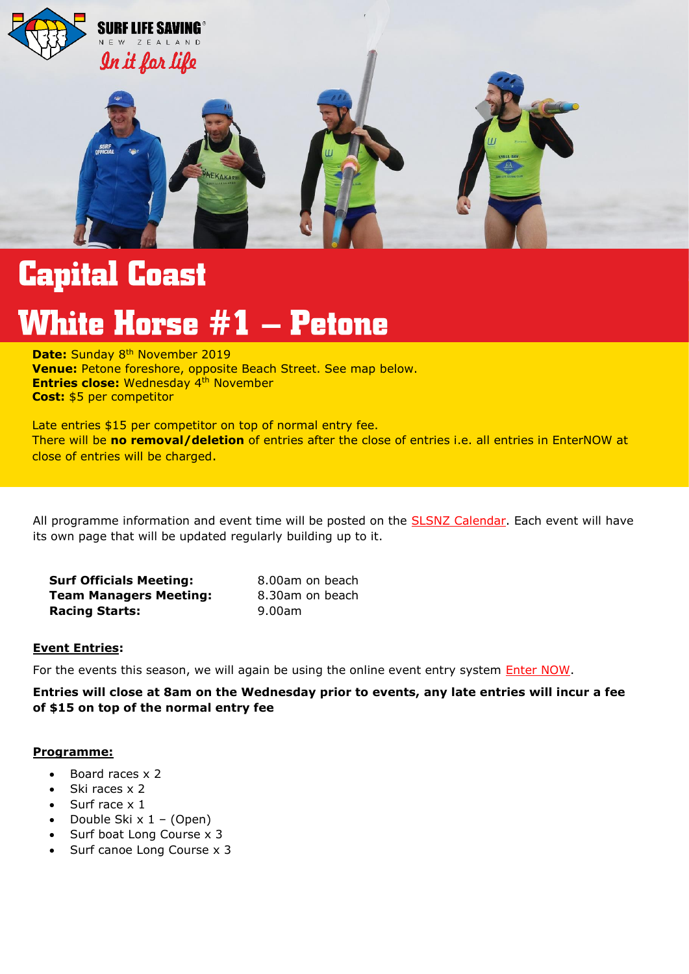

# **Capital Coast**

# **White Horse #1 – Petone**

**2020/2021 – Events Overview Venue:** Petone foreshore, opposite Beach Street. See map below. **Entries close:** Wednesday 4<sup>th</sup> November **Date:** Sunday 8<sup>th</sup> November 2019 **Cost:** \$5 per competitor

Late entries \$15 per competitor on top of normal entry fee. There will be **no removal/deletion** of entries after the close of entries i.e. all entries in EnterNOW at close of entries will be charged.

All programme information and event time will be posted on the **SLSNZ Calendar**. Each event will have its own page that will be updated regularly building up to it.

| <b>Surf Officials Meeting:</b> | 8.00am on beach |
|--------------------------------|-----------------|
| <b>Team Managers Meeting:</b>  | 8.30am on beach |
| <b>Racing Starts:</b>          | 9.00am          |

# **Event Entries:**

For the events this season, we will again be using the online event entry system *Enter NOW*.

**Entries will close at 8am on the Wednesday prior to events, any late entries will incur a fee of \$15 on top of the normal entry fee**

#### **Programme:**

- $\bullet$  Board races  $\times$  2
- $\bullet$  Ski races  $\times$  2
- Surf race x 1
- Double Ski  $x 1 (Open)$
- Surf boat Long Course x 3
- Surf canoe Long Course x 3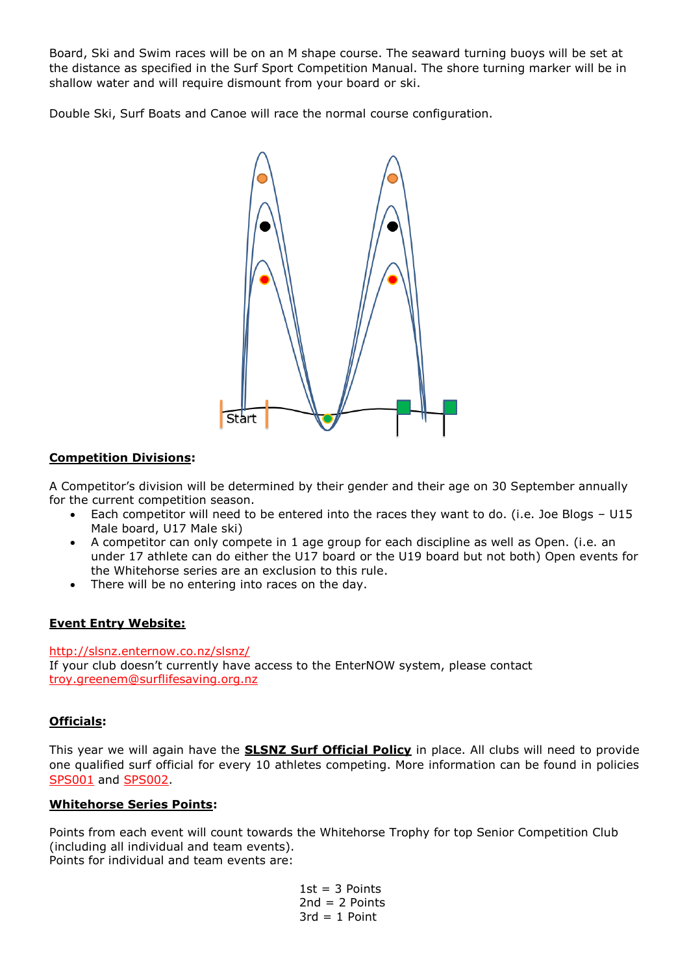Board, Ski and Swim races will be on an M shape course. The seaward turning buoys will be set at the distance as specified in the Surf Sport Competition Manual. The shore turning marker will be in shallow water and will require dismount from your board or ski.

Double Ski, Surf Boats and Canoe will race the normal course configuration.



# **Competition Divisions:**

A Competitor's division will be determined by their gender and their age on 30 September annually for the current competition season.

- Each competitor will need to be entered into the races they want to do. (i.e. Joe Blogs U15 Male board, U17 Male ski)
- A competitor can only compete in 1 age group for each discipline as well as Open. (i.e. an under 17 athlete can do either the U17 board or the U19 board but not both) Open events for the Whitehorse series are an exclusion to this rule.
- There will be no entering into races on the day.

# **Event Entry Website:**

<http://slsnz.enternow.co.nz/slsnz/> If your club doesn't currently have access to the EnterNOW system, please contact [troy.greenem@surflifesaving.org.nz](mailto:troy.greenem@surflifesaving.org.nz)

# **Officials:**

This year we will again have the **SLSNZ Surf Official Policy** in place. All clubs will need to provide one qualified surf official for every 10 athletes competing. More information can be found in policies [SPS001](https://www.surflifesaving.org.nz/media/618788/SS001-Junior-Surf-Officials-Ratio-Policy_2015.pdf) and [SPS002.](https://www.surflifesaving.org.nz/media/618791/SS002-Surf-Officials-Ratio-Policy_2015.pdf)

#### **Whitehorse Series Points:**

Points from each event will count towards the Whitehorse Trophy for top Senior Competition Club (including all individual and team events). Points for individual and team events are:

> $1st = 3$  Points  $2nd = 2$  Points  $3rd = 1$  Point